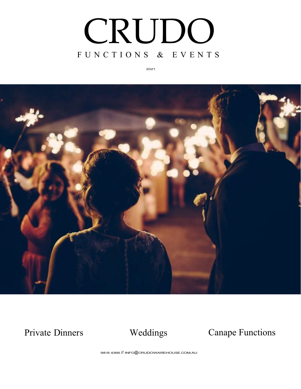

2021



Private Dinners Weddings Canape Functions

9818 4366 // [INFO@CRUDOWAREHOUSE.COM.AU](mailto:INFO@CRUDOWAREHOUSE.COM.AU)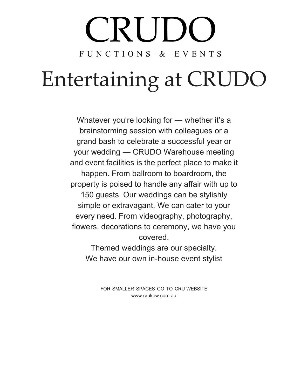# CRUDC F U N C T I O N S & E V E N T S

# Entertaining at CRUDO

Whatever you're looking for — whether it's a brainstorming session with colleagues or a grand bash to celebrate a successful year or your wedding — CRUDO Warehouse meeting and event facilities is the perfect place to make it happen. From ballroom to boardroom, the property is poised to handle any affair with up to 150 guests. Our weddings can be stylishly simple or extravagant. We can cater to your every need. From videography, photography, flowers, decorations to ceremony, we have you covered.

Themed weddings are our specialty. We have our own in-house event stylist

> FOR SMALLER SPACES GO TO CRU WEBSITE [www.crukew.com.au](http://www.crukew.com.au/)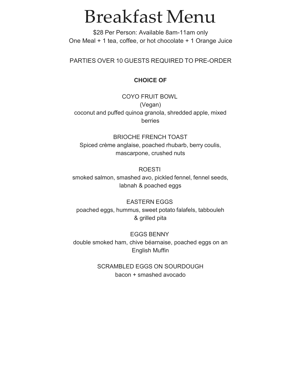### Breakfast Menu

\$28 Per Person: Available 8am-11am only One Meal + 1 tea, coffee, or hot chocolate + 1 Orange Juice

PARTIES OVER 10 GUESTS REQUIRED TO PRE-ORDER

### **CHOICE OF**

COYO FRUIT BOWL (Vegan) coconut and puffed quinoa granola, shredded apple, mixed berries

BRIOCHE FRENCH TOAST Spiced crème anglaise, poached rhubarb, berry coulis, mascarpone, crushed nuts

ROESTI smoked salmon, smashed avo, pickled fennel, fennel seeds, labnah & poached eggs

EASTERN EGGS poached eggs, hummus, sweet potato falafels, tabbouleh & grilled pita

EGGS BENNY double smoked ham, chive béarnaise, poached eggs on an English Muffin

> SCRAMBLED EGGS ON SOURDOUGH bacon + smashed avocado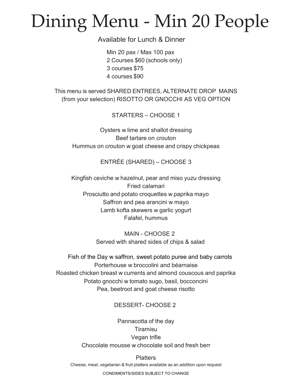## Dining Menu - Min 20 People

Available for Lunch & Dinner

Min 20 pax / Max 100 pax 2 Courses \$60 (schools only) 3 courses \$75 4 courses \$90

This menu is served SHARED ENTREES, ALTERNATE DROP MAINS (from your selection) RISOTTO OR GNOCCHI AS VEG OPTION

STARTERS – CHOOSE 1

Oysters w lime and shallot dressing Beef tartare on crouton Hummus on crouton w goat cheese and crispy chickpeas

ENTRÉE (SHARED) – CHOOSE 3

Kingfish ceviche w hazelnut, pear and miso yuzu dressing Fried calamari Prosciutto and potato croquettes w paprika mayo Saffron and pea arancini w mayo Lamb kofta skewers w garlic yogurt Falafel, hummus

> MAIN - CHOOSE 2 Served with shared sides of chips & salad

Fish of the Day w saffron, sweet potato puree and baby carrots Porterhouse w broccolini and béarnaise Roasted chicken breast w currents and almond couscous and paprika Potato gnocchi w tomato sugo, basil, bocconcini Pea, beetroot and goat cheese risotto

### DESSERT- CHOOSE 2

Pannacotta of the day Tiramisu Vegan trifle Chocolate mousse w chocolate soil and fresh berr

**Platters** Cheese, meat, vegetarian & fruit platters available as an addition upon request

CONDIMENTS/SIDES SUBJECT TO CHANGE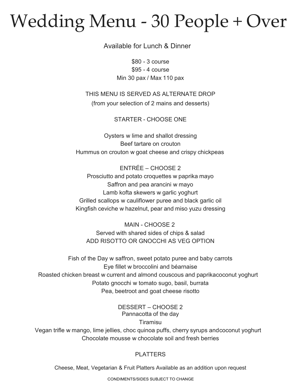## Wedding Menu - 30 People + Over

Available for Lunch & Dinner

\$80 - 3 course \$95 - 4 course Min 30 pax / Max 110 pax

THIS MENU IS SERVED AS ALTERNATE DROP (from your selection of 2 mains and desserts)

STARTER - CHOOSE ONE

Oysters w lime and shallot dressing Beef tartare on crouton Hummus on crouton w goat cheese and crispy chickpeas

ENTRÉE – CHOOSE 2 Prosciutto and potato croquettes w paprika mayo Saffron and pea arancini w mayo Lamb kofta skewers w garlic yoghurt Grilled scallops w cauliflower puree and black garlic oil Kingfish ceviche w hazelnut, pear and miso yuzu dressing

MAIN - CHOOSE 2 Served with shared sides of chips & salad ADD RISOTTO OR GNOCCHI AS VEG OPTION

Fish of the Day w saffron, sweet potato puree and baby carrots Eye fillet w broccolini and béarnaise Roasted chicken breast w current and almond couscous and paprikacoconut yoghurt Potato gnocchi w tomato sugo, basil, burrata Pea, beetroot and goat cheese risotto

> DESSERT – CHOOSE 2 Pannacotta of the day Tiramisu

Vegan trifle w mango, lime jellies, choc quinoa puffs, cherry syrups and coconut yoghurt Chocolate mousse w chocolate soil and fresh berries

### PLATTERS

Cheese, Meat, Vegetarian & Fruit Platters Available as an addition upon request

CONDIMENTS/SIDES SUBJECT TO CHANGE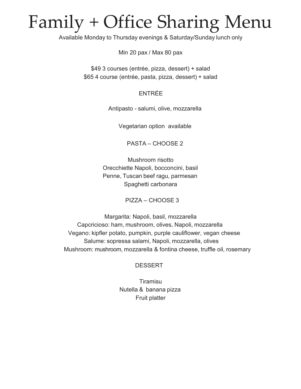### Family + Office Sharing Menu

Available Monday to Thursday evenings & Saturday/Sunday lunch only

Min 20 pax / Max 80 pax

\$49 3 courses (entrée, pizza, dessert) + salad \$65 4 course (entrée, pasta, pizza, dessert) + salad

### ENTRÉE

Antipasto - salumi, olive, mozzarella

Vegetarian option available

PASTA – CHOOSE 2

Mushroom risotto Orecchiette Napoli, bocconcini, basil Penne, Tuscan beef ragu, parmesan Spaghetti carbonara

PIZZA – CHOOSE 3

Margarita: Napoli, basil, mozzarella Capcricioso: ham, mushroom, olives, Napoli, mozzarella Vegano: kipfler potato, pumpkin, purple cauliflower, vegan cheese Salume: sopressa salami, Napoli, mozzarella, olives Mushroom: mushroom, mozzarella & fontina cheese, truffle oil, rosemary

### **DESSERT**

**Tiramisu** Nutella & banana pizza Fruit platter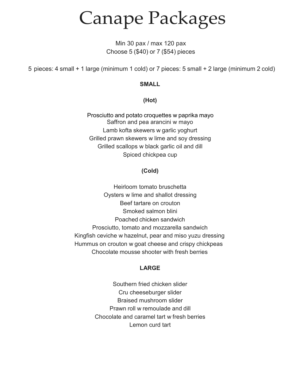Canape Packages

Min 30 pax / max 120 pax Choose 5 (\$40) or 7 (\$54) pieces

5 pieces: 4 small + 1 large (minimum 1 cold) or 7 pieces: 5 small + 2 large (minimum 2 cold)

### **SMALL**

**(Hot)**

Prosciutto and potato croquettes w paprika mayo Saffron and pea arancini w mayo Lamb kofta skewers w garlic yoghurt Grilled prawn skewers w lime and soy dressing Grilled scallops w black garlic oil and dill Spiced chickpea cup

### **(Cold)**

Heirloom tomato bruschetta Oysters w lime and shallot dressing Beef tartare on crouton Smoked salmon blini Poached chicken sandwich Prosciutto, tomato and mozzarella sandwich Kingfish ceviche w hazelnut, pear and miso yuzu dressing Hummus on crouton w goat cheese and crispy chickpeas Chocolate mousse shooter with fresh berries

### **LARGE**

Southern fried chicken slider Cru cheeseburger slider Braised mushroom slider Prawn roll w remoulade and dill Chocolate and caramel tart w fresh berries Lemon curd tart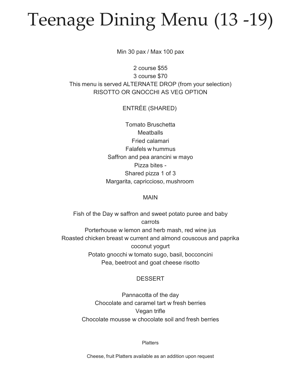## Teenage Dining Menu (13 -19)

Min 30 pax / Max 100 pax

2 course \$55 3 course \$70 This menu is served ALTERNATE DROP (from your selection) RISOTTO OR GNOCCHI AS VEG OPTION

### ENTRÉE (SHARED)

Tomato Bruschetta **Meatballs** Fried calamari Falafels w hummus Saffron and pea arancini w mayo Pizza bites - Shared pizza 1 of 3 Margarita, capriccioso, mushroom

### MAIN

Fish of the Day w saffron and sweet potato puree and baby carrots Porterhouse w lemon and herb mash, red wine jus Roasted chicken breast w current and almond couscous and paprika coconut yogurt Potato gnocchi w tomato sugo, basil, bocconcini Pea, beetroot and goat cheese risotto

### **DESSERT**

Pannacotta of the day Chocolate and caramel tart w fresh berries Vegan trifle Chocolate mousse w chocolate soil and fresh berries

**Platters** 

Cheese, fruit Platters available as an addition upon request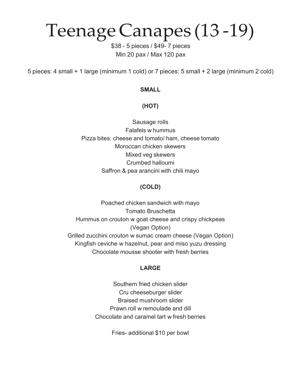### Teenage Canapes (13 -19)

\$38 - 5 pieces / \$49- 7 pieces Min 20 pax / Max 120 pax

5 pieces: 4 small + 1 large (minimum 1 cold) or 7 pieces: 5 small + 2 large (minimum 2 cold)

### **SMALL**

### **(HOT)**

Sausage rolls Falafels w hummus Pizza bites: cheese and tomato/ ham, cheese tomato Moroccan chicken skewers Mixed veg skewers Crumbed halloumi Saffron & pea arancini with chili mayo

### **(COLD)**

Poached chicken sandwich with mayo Tomato Bruschetta Hummus on crouton w goat cheese and crispy chickpeas (Vegan Option) Grilled zucchini crouton w sumac cream cheese (Vegan Option) Kingfish ceviche w hazelnut, pear and miso yuzu dressing Chocolate mousse shooter with fresh berries

### **LARGE**

Southern fried chicken slider Cru cheeseburger slider Braised mushroom slider Prawn roll w remoulade and dill Chocolate and caramel tart w fresh berries

Fries- additional \$10 per bowl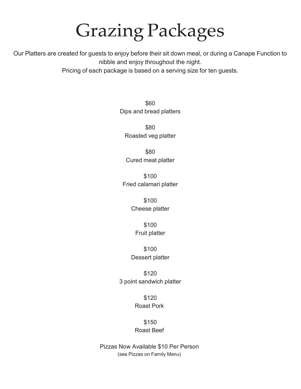## Grazing Packages

Our Platters are created for guests to enjoy before their sit down meal, or during a Canape Function to nibble and enjoy throughout the night.

Pricing of each package is based on a serving size for ten guests.

\$60 Dips and bread platters

\$80 Roasted veg platter

\$80 Cured meat platter

\$100 Fried calamari platter

> \$100 Cheese platter

> > \$100 Fruit platter

\$100 Dessert platter

\$120 3 point sandwich platter

> \$120 Roast Pork

\$150 Roast Beef

Pizzas Now Available \$10 Per Person (see Pizzas on Family Menu)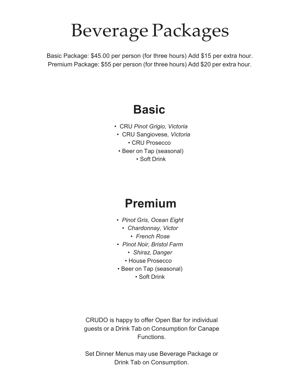## Beverage Packages

Basic Package: \$45.00 per person (for three hours) Add \$15 per extra hour. Premium Package: \$55 per person (for three hours) Add \$20 per extra hour.

### **Basic**

- CRU *Pinot Grigio, Victoria*
- CRU Sangiovese*, Victoria*
	- CRU Prosecco
- Beer on Tap (seasonal) • Soft Drink

### **Premium**

- *Pinot Gris, Ocean Eight*
	- *• Chardonnay, Victor*
		- *• French Rose*
- *Pinot Noir, Bristol Farm*
	- *• Shiraz, Danger*
	- House Prosecco
- Beer on Tap (seasonal)
	- Soft Drink

CRUDO is happy to offer Open Bar for individual guests or a Drink Tab on Consumption for Canape Functions.

Set Dinner Menus may use Beverage Package or Drink Tab on Consumption.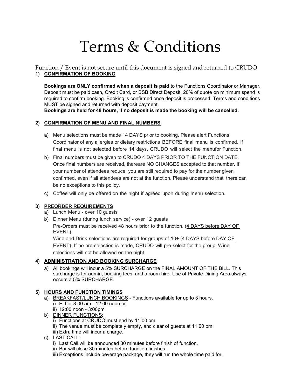### Terms & Conditions

Function / Event is not secure until this document is signed and returned to CRUDO **1) CONFIRMATION OF BOOKING**

**Bookings are ONLY confirmed when a deposit is paid** to the Functions Coordinator or Manager. Deposit must be paid cash, Credit Card, or BSB Direct Deposit. 20% of quote on minimum spend is required to confirm booking. Booking is confirmed once deposit is processed. Terms and conditions MUST be signed and returned with deposit payment.

**Bookings are held for 48 hours, if no deposit is made the booking will be cancelled.**

### **2) CONFIRMATION OF MENU AND FINAL NUMBERS**

- a) Menu selections must be made 14 DAYS prior to booking. Please alert Functions Coordinator of any allergies or dietary restrictions BEFORE final menu is confirmed. If final menu is not selected before 14 days, CRUDO will select the menufor Function.
- b) Final numbers must be given to CRUDO 4 DAYS PRIOR TO THE FUNCTION DATE. Once final numbers are received, thereare NO CHANGES accepted to that number. If your number of attendees reduce, you are still required to pay for the number given confirmed, even if all attendees are not at the function. Please understand that there can be no exceptions to this policy.
- c) Coffee will only be offered on the night if agreed upon during menu selection.

### **3) PREORDER REQUIREMENTS**

- a) Lunch Menu over 10 guests
- b) Dinner Menu (during lunch service) over 12 guests

Pre-Orders must be received 48 hours prior to the function. (4 DAYS before DAY OF EVENT)

Wine and Drink selections are required for groups of 10+ (4 DAYS before DAY OF

EVENT). If no pre-selection is made, CRUDO will pre-select for the group. Wine selections will not be allowed on the night.

### **4) ADMINISTRATION AND BOOKING SURCHARGE**

a) All bookings will incur a 5% SURCHARGE on the FINAL AMOUNT OF THE BILL. This surcharge is for admin, booking fees, and a room hire. Use of Private Dining Area always occurs a 5% SURCHARGE.

#### **5) HOURS AND FUNCTION TIMINGS**

- a) BREAKFAST/LUNCH BOOKINGS Functions available for up to 3 hours. i) Either 8:00 am - 12:00 noon or
	- ii) 12:00 noon 3:00pm
- b) DINNER FUNCTIONS:
	- i) Functions at CRUDO must end by 11:00 pm
	- ii) The venue must be completely empty, and clear of guests at 11:00 pm.
	- iii) Extra time will incur a charge.
- c) LAST CALL:
	- i) Last Call will be announced 30 minutes before finish of function.
	- ii) Bar will close 30 minutes before function finishes.
	- iii) Exceptions include beverage package, they will run the whole time paid for.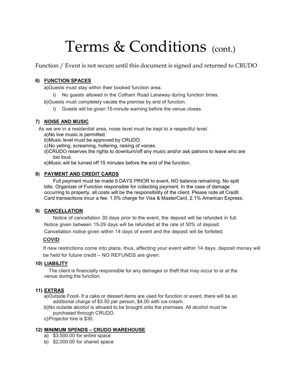### Terms & Conditions (cont.)

Function / Event is not secure until this document is signed and returned to CRUDO

### **6) FUNCTION SPACES**

a)Guests must stay within their booked function area.

i) No guests allowed in the Cotham Road Laneway during function times.

b)Guests must completely vacate the premise by end of function.

i) Guests will be given 15-minute warning before the venue closes.

### **7) NOISE AND MUSIC**

As we are in a residential area, noise level must be kept to a respectful level.

a)No live music is permitted.

b)Music level must be approved by CRUDO.

- c)No yelling, screaming, hollering, raising of voices.
- d)CRUDO reserves the rights to downturn/off any music and/or ask patrons to leave who are too loud.

e)Music will be turned off 15 minutes before the end of the function.

### **8) PAYMENT AND CREDIT CARDS**

Full payment must be made 5 DAYS PRIOR to event, NO balance remaining. No split bills. Organizer of Function responsible for collecting payment. In the case of damage occurring to property, all costs will be the responsibility of the client. Please note all Credit Card transactions incur a fee. 1.5% charge for Visa & MasterCard, 2.1% American Express.

### **9) CANCELLATION**

Notice of cancellation 30 days prior to the event, the deposit will be refunded in full. Notice given between 15-29 days will be refunded at the rate of 50% of deposit. Cancellation notice given within 14 days of event and the deposit will be forfeited.

#### **COVID**

If new restrictions come into place, thus, affecting your event within 14 days, deposit money will be held for future credit – NO REFUNDS are given.

#### **10) LIABILITY**

The client is financially responsible for any damages or theft that may occur to or at the venue during the function.

#### **11) EXTRAS**

a)Outside Food- If a cake or dessert items are used for function or event, there will be an additional charge of \$3.50 per person, \$4.00 with ice-cream.

- b)No outside alcohol is allowed to be brought onto the premises. All alcohol must be purchased through CRUDO.
- c)Projector hire is \$30.

#### **12) MINIMUM SPENDS – CRUDO WAREHOUSE**

- a) \$3,500.00 for entire space
- b) \$2,000.00 for shared space